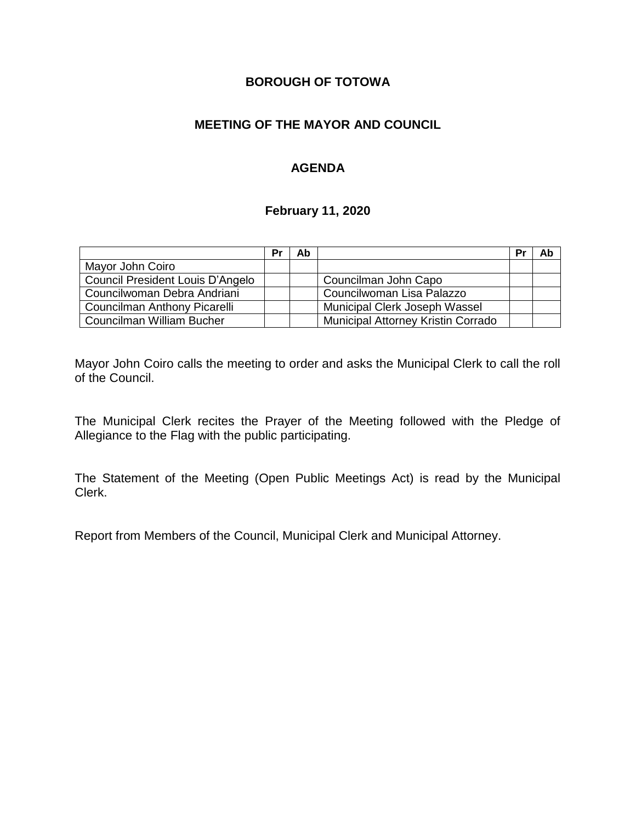# **BOROUGH OF TOTOWA**

# **MEETING OF THE MAYOR AND COUNCIL**

# **AGENDA**

#### **February 11, 2020**

|                                  | Pr | Ab |                                    | Pr | Ab |
|----------------------------------|----|----|------------------------------------|----|----|
| Mayor John Coiro                 |    |    |                                    |    |    |
| Council President Louis D'Angelo |    |    | Councilman John Capo               |    |    |
| Councilwoman Debra Andriani      |    |    | Councilwoman Lisa Palazzo          |    |    |
| Councilman Anthony Picarelli     |    |    | Municipal Clerk Joseph Wassel      |    |    |
| Councilman William Bucher        |    |    | Municipal Attorney Kristin Corrado |    |    |

Mayor John Coiro calls the meeting to order and asks the Municipal Clerk to call the roll of the Council.

The Municipal Clerk recites the Prayer of the Meeting followed with the Pledge of Allegiance to the Flag with the public participating.

The Statement of the Meeting (Open Public Meetings Act) is read by the Municipal Clerk.

Report from Members of the Council, Municipal Clerk and Municipal Attorney.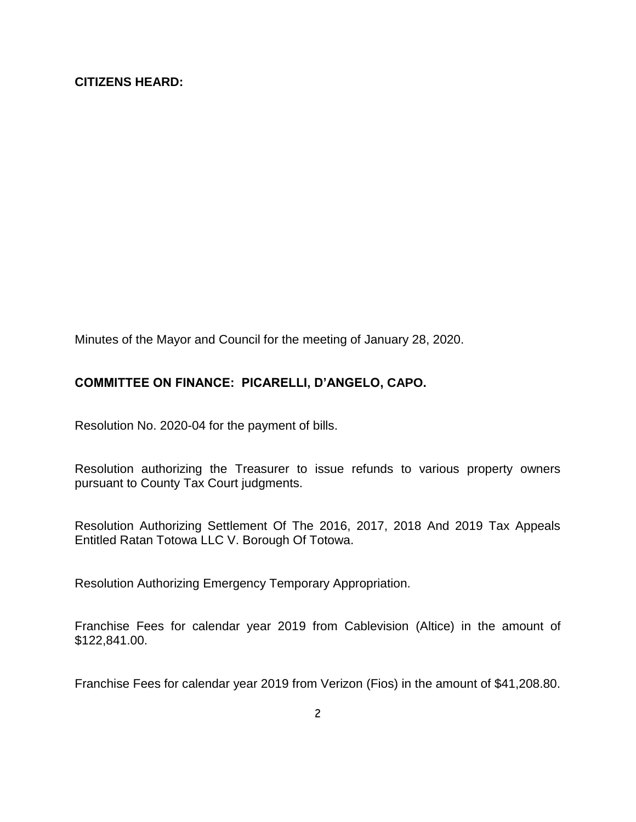#### **CITIZENS HEARD:**

Minutes of the Mayor and Council for the meeting of January 28, 2020.

### **COMMITTEE ON FINANCE: PICARELLI, D'ANGELO, CAPO.**

Resolution No. 2020-04 for the payment of bills.

Resolution authorizing the Treasurer to issue refunds to various property owners pursuant to County Tax Court judgments.

Resolution Authorizing Settlement Of The 2016, 2017, 2018 And 2019 Tax Appeals Entitled Ratan Totowa LLC V. Borough Of Totowa.

Resolution Authorizing Emergency Temporary Appropriation.

Franchise Fees for calendar year 2019 from Cablevision (Altice) in the amount of \$122,841.00.

Franchise Fees for calendar year 2019 from Verizon (Fios) in the amount of \$41,208.80.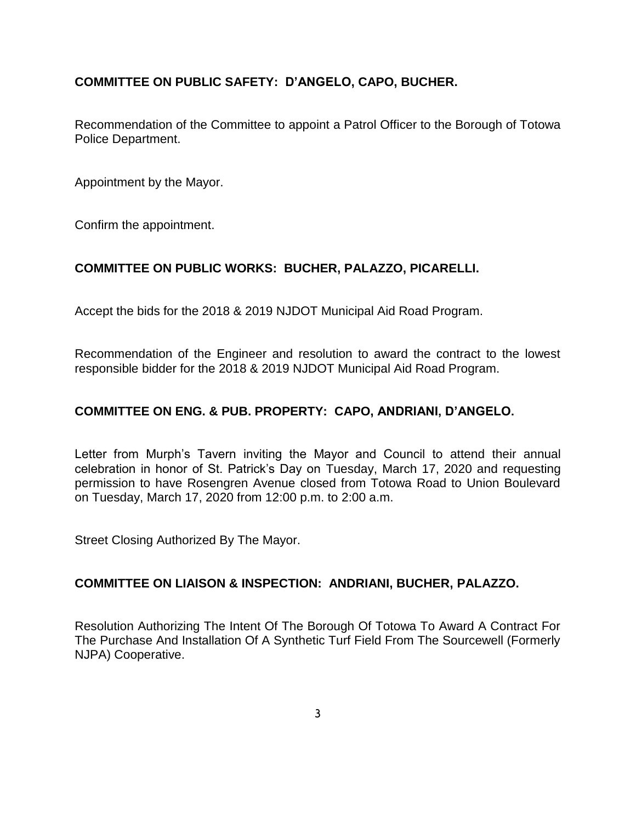# **COMMITTEE ON PUBLIC SAFETY: D'ANGELO, CAPO, BUCHER.**

Recommendation of the Committee to appoint a Patrol Officer to the Borough of Totowa Police Department.

Appointment by the Mayor.

Confirm the appointment.

### **COMMITTEE ON PUBLIC WORKS: BUCHER, PALAZZO, PICARELLI.**

Accept the bids for the 2018 & 2019 NJDOT Municipal Aid Road Program.

Recommendation of the Engineer and resolution to award the contract to the lowest responsible bidder for the 2018 & 2019 NJDOT Municipal Aid Road Program.

### **COMMITTEE ON ENG. & PUB. PROPERTY: CAPO, ANDRIANI, D'ANGELO.**

Letter from Murph's Tavern inviting the Mayor and Council to attend their annual celebration in honor of St. Patrick's Day on Tuesday, March 17, 2020 and requesting permission to have Rosengren Avenue closed from Totowa Road to Union Boulevard on Tuesday, March 17, 2020 from 12:00 p.m. to 2:00 a.m.

Street Closing Authorized By The Mayor.

### **COMMITTEE ON LIAISON & INSPECTION: ANDRIANI, BUCHER, PALAZZO.**

Resolution Authorizing The Intent Of The Borough Of Totowa To Award A Contract For The Purchase And Installation Of A Synthetic Turf Field From The Sourcewell (Formerly NJPA) Cooperative.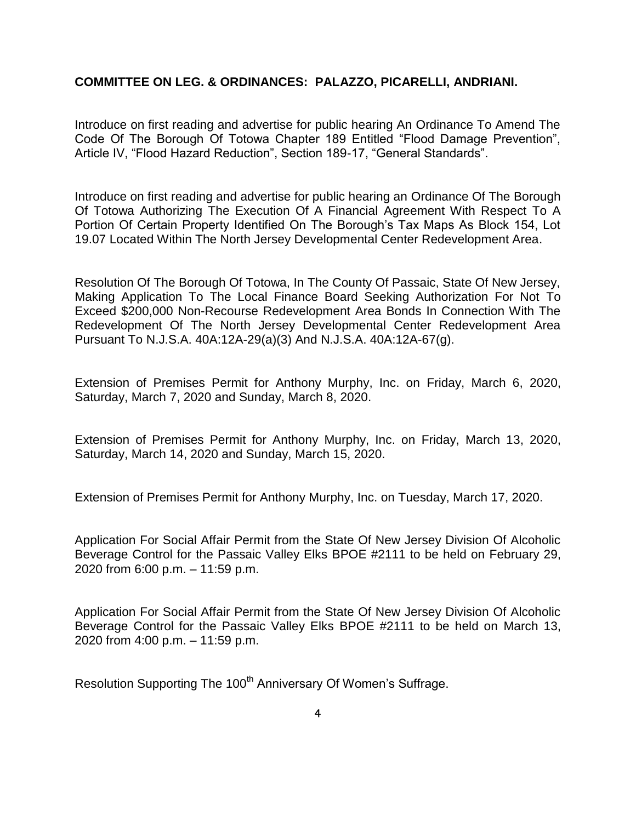#### **COMMITTEE ON LEG. & ORDINANCES: PALAZZO, PICARELLI, ANDRIANI.**

Introduce on first reading and advertise for public hearing An Ordinance To Amend The Code Of The Borough Of Totowa Chapter 189 Entitled "Flood Damage Prevention", Article IV, "Flood Hazard Reduction", Section 189-17, "General Standards".

Introduce on first reading and advertise for public hearing an Ordinance Of The Borough Of Totowa Authorizing The Execution Of A Financial Agreement With Respect To A Portion Of Certain Property Identified On The Borough's Tax Maps As Block 154, Lot 19.07 Located Within The North Jersey Developmental Center Redevelopment Area.

Resolution Of The Borough Of Totowa, In The County Of Passaic, State Of New Jersey, Making Application To The Local Finance Board Seeking Authorization For Not To Exceed \$200,000 Non-Recourse Redevelopment Area Bonds In Connection With The Redevelopment Of The North Jersey Developmental Center Redevelopment Area Pursuant To N.J.S.A. 40A:12A-29(a)(3) And N.J.S.A. 40A:12A-67(g).

Extension of Premises Permit for Anthony Murphy, Inc. on Friday, March 6, 2020, Saturday, March 7, 2020 and Sunday, March 8, 2020.

Extension of Premises Permit for Anthony Murphy, Inc. on Friday, March 13, 2020, Saturday, March 14, 2020 and Sunday, March 15, 2020.

Extension of Premises Permit for Anthony Murphy, Inc. on Tuesday, March 17, 2020.

Application For Social Affair Permit from the State Of New Jersey Division Of Alcoholic Beverage Control for the Passaic Valley Elks BPOE #2111 to be held on February 29, 2020 from 6:00 p.m. – 11:59 p.m.

Application For Social Affair Permit from the State Of New Jersey Division Of Alcoholic Beverage Control for the Passaic Valley Elks BPOE #2111 to be held on March 13, 2020 from 4:00 p.m. – 11:59 p.m.

Resolution Supporting The 100<sup>th</sup> Anniversary Of Women's Suffrage.